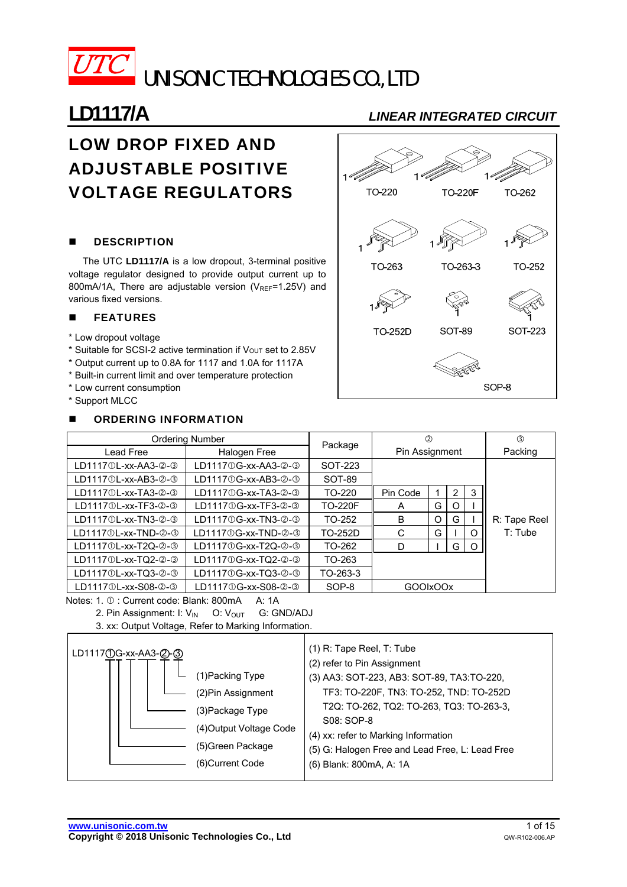

# LOW DROP FIXED AND ADJUSTABLE POSITIVE VOLTAGE REGULATORS

### **DESCRIPTION**

The UTC **LD1117/A** is a low dropout, 3-terminal positive voltage regulator designed to provide output current up to 800mA/1A. There are adjustable version ( $V_{\text{REF}}$ =1.25V) and various fixed versions.

### **E** FEATURES

- \* Low dropout voltage
- \* Suitable for SCSI-2 active termination if Vout set to 2.85V
- \* Output current up to 0.8A for 1117 and 1.0A for 1117A
- \* Built-in current limit and over temperature protection
- \* Low current consumption
- \* Support MLCC

### **NUMBERING INFORMATION**

# **LD1117/A** *LINEAR INTEGRATED CIRCUIT*



|                               | <b>Ordering Number</b>        |                |                | $^{\circledR}$ |                |          | ③            |
|-------------------------------|-------------------------------|----------------|----------------|----------------|----------------|----------|--------------|
| Lead Free                     | Halogen Free                  | Package        | Pin Assignment |                |                |          | Packing      |
| LD11170L-xx-AA3-2-3           | LD11170G-xx-AA3-2-3           | SOT-223        |                |                |                |          |              |
| LD11170L-xx-AB3-2-3           | LD11170G-xx-AB3-2-3           | SOT-89         |                |                |                |          |              |
| LD11170L-xx-TA3-2-3           | LD11170G-xx-TA3-2-3           | TO-220         | Pin Code       |                | $\overline{2}$ | 3        |              |
| LD11170L-xx-TF3-2-3           | LD1117 0 G-xx-TF3- 2-3        | <b>TO-220F</b> | A              | G              | O              |          |              |
| LD1117①L-xx-TN3-②-③           | LD1117 0 G-xx-TN3- 2-3        | TO-252         | B              | $\Omega$       | G              |          | R: Tape Reel |
| $LD11170$ L-xx-TND- $@$ - $@$ | $LD1117@G$ -xx-TND- $@$ - $@$ | TO-252D        | C              | G              |                | ∩        | $T:$ Tube    |
| LD11170L-xx-T2Q-2-3           | LD11170G-xx-T2Q-2-3           | TO-262         | D              |                | G              | $\Omega$ |              |
| LD11170L-xx-TQ2-2-3           | LD11170G-xx-TQ2-0-0           | TO-263         |                |                |                |          |              |
| LD11170L-xx-TQ3-2-3           | LD11170G-xx-TQ3-0-0           | TO-263-3       |                |                |                |          |              |
| LD11170L-xx-S08-2-3           | LD1117①G-xx-S08-2-3           | SOP-8          | GOOIxOOx       |                |                |          |              |

Notes: 1.  $\mathbb{O}$ : Current code: Blank: 800mA A: 1A

2. Pin Assignment: I: V<sub>IN</sub> O: V<sub>OUT</sub> G: GND/ADJ

3. xx: Output Voltage, Refer to Marking Information.

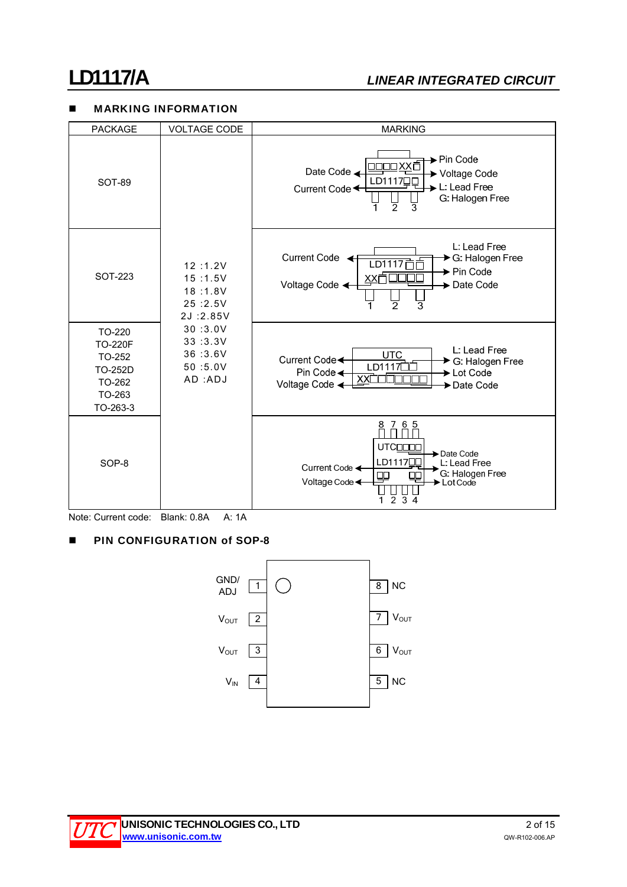# **LD1117/A** *LINEAR INTEGRATED CIRCUIT*

### **MARKING INFORMATION**

| <b>PACKAGE</b>                                                                | <b>VOLTAGE CODE</b>                                   | <b>MARKING</b>                                                                                                                                                          |
|-------------------------------------------------------------------------------|-------------------------------------------------------|-------------------------------------------------------------------------------------------------------------------------------------------------------------------------|
| <b>SOT-89</b>                                                                 |                                                       | → Pin Code<br>וXXוכ<br>Date Code<br>▶ Voltage Code<br>LD11170C<br>L: Lead Free<br>Current Code <<br>G: Halogen Free<br>2<br>3                                           |
| <b>SOT-223</b>                                                                | 12:1.2V<br>15:1.5V<br>18:1.8V<br>25:2.5V<br>2J:2.85V  | L: Lead Free<br><b>Current Code</b><br>G: Halogen Free<br>LD1117<br>► Pin Code<br>Voltage Code <<br>Date Code                                                           |
| TO-220<br><b>TO-220F</b><br>TO-252<br>TO-252D<br>TO-262<br>TO-263<br>TO-263-3 | 30:3.0V<br>33:3.3V<br>36:3.6V<br>50 :5.0V<br>AD : ADJ | L: Lead Free<br><b>UTC</b><br>Current Code <<br>→ G: Halogen Free<br>LD11170<br>Pin Code <<br>Lot Code<br>Voltage Code <<br><b>→ Date Code</b>                          |
| SOP-8                                                                         |                                                       | 65<br>8<br>7<br><b>UTCODDD</b><br>Date Code<br>LD11170C<br>L: Lead Free<br>Current Code ←<br>G: Halogen Free<br>⊞<br>Voltage Code <<br>Lot Code<br>$\overline{2}$<br>34 |

Note: Current code: Blank: 0.8A A: 1A

## **PIN CONFIGURATION of SOP-8**



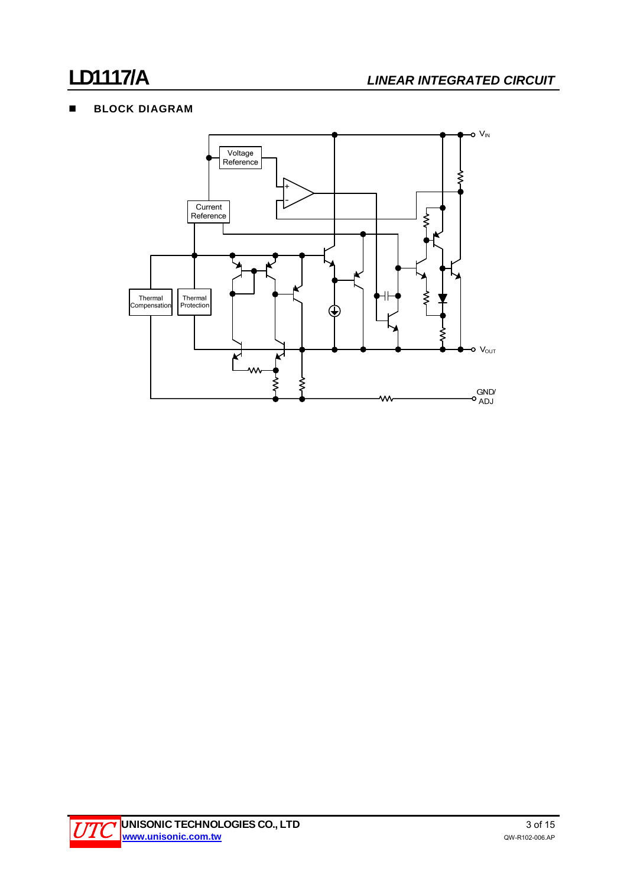# **BLOCK DIAGRAM**



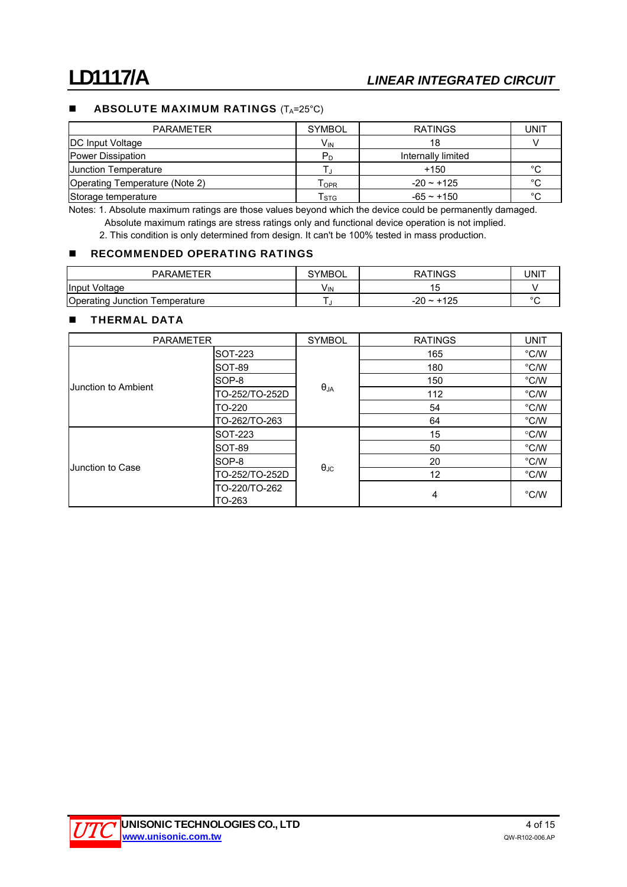### **ABSOLUTE MAXIMUM RATINGS**  $(T_A=25^{\circ}C)$

| <b>PARAMETER</b>               | <b>SYMBOL</b>             | <b>RATINGS</b>     | UNIT   |
|--------------------------------|---------------------------|--------------------|--------|
| <b>DC Input Voltage</b>        | V <sub>IN</sub>           | 18                 |        |
| <b>Power Dissipation</b>       | P <sub>D</sub>            | Internally limited |        |
| <b>Junction Temperature</b>    |                           | +150               | °C     |
| Operating Temperature (Note 2) | OPR                       | $-20 \sim +125$    | °C     |
| Storage temperature            | $\mathsf{T}_{\text{STG}}$ | $-65 - +150$       | $\sim$ |

Notes: 1. Absolute maximum ratings are those values beyond which the device could be permanently damaged. Absolute maximum ratings are stress ratings only and functional device operation is not implied.

2. This condition is only determined from design. It can't be 100% tested in mass production.

### **RECOMMENDED OPERATING RATINGS**

| <b>PARAMETER</b>               | <b>SYMBOL</b> | <b>RATINGS</b> | UNIT    |
|--------------------------------|---------------|----------------|---------|
| Input Voltage                  | VIN           |                |         |
| Operating Junction Temperature |               | $-20 - 125$    | $\circ$ |

### **THERMAL DATA**

| <b>PARAMETER</b>    |                         | <b>SYMBOL</b>        | <b>RATINGS</b> | <b>UNIT</b>   |
|---------------------|-------------------------|----------------------|----------------|---------------|
|                     | SOT-223                 |                      | 165            | $\degree$ C/W |
|                     | SOT-89                  |                      | 180            | $\degree$ C/W |
| Junction to Ambient | SOP-8                   |                      | 150            | $\degree$ C/W |
|                     | TO-252/TO-252D          | $\theta_{JA}$        | 112            | $\degree$ C/W |
|                     | TO-220                  |                      | 54             | $\degree$ C/W |
|                     | TO-262/TO-263           |                      | 64             | $\degree$ C/W |
|                     | SOT-223                 |                      | 15             | $\degree$ C/W |
|                     | SOT-89                  |                      | 50             | $\degree$ C/W |
| Junction to Case    | SOP-8                   |                      | 20             | $\degree$ C/W |
|                     | TO-252/TO-252D          | $\theta_{\text{JC}}$ | 12             | $\degree$ C/W |
|                     | TO-220/TO-262<br>TO-263 |                      | 4              | $\degree$ C/W |

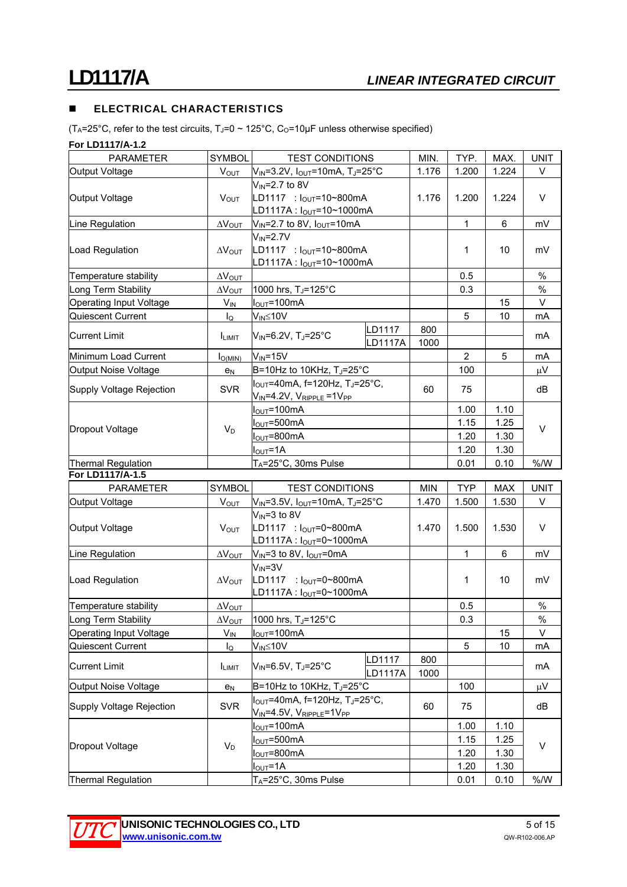## **ELECTRICAL CHARACTERISTICS**

(T<sub>A</sub>=25°C, refer to the test circuits, T<sub>J</sub>=0 ~ 125°C, C<sub>O</sub>=10µF unless otherwise specified)

**For LD1117/A-1.2** 

| <b>PARAMETER</b>         | SYMBOL                  | <b>TEST CONDITIONS</b>                                   |                | MIN.       | TYP.           | MAX.       | <b>UNIT</b> |
|--------------------------|-------------------------|----------------------------------------------------------|----------------|------------|----------------|------------|-------------|
| Output Voltage           | $V_{\text{OUT}}$        | $V_{IN}$ =3.2V, $I_{OUT}$ =10mA, T <sub>J</sub> =25°C    |                | 1.176      | 1.200          | 1.224      | V           |
|                          |                         | $V_{IN} = 2.7$ to 8V                                     |                |            |                |            |             |
| Output Voltage           | V <sub>OUT</sub>        | LD1117 : $I_{OUT} = 10 - 800$ mA                         |                | 1.176      | 1.200          | 1.224      | $\vee$      |
|                          |                         | LD1117A: lout=10~1000mA                                  |                |            |                |            |             |
| Line Regulation          | $\Delta V_{\text{OUT}}$ | $V_{IN} = 2.7$ to 8V, $I_{OUT} = 10mA$                   |                |            | 1              | 6          | mV          |
|                          |                         | $V_{IN} = 2.7V$                                          |                |            |                |            |             |
| Load Regulation          | $\Delta V_{\text{OUT}}$ | LD1117 : $I_{OUT} = 10 - 800$ mA                         |                |            | 1              | 10         | mV          |
|                          |                         | LD1117A : $I_{OUT} = 10 - 1000$ mA                       |                |            |                |            |             |
| Temperature stability    | $\Delta V_{\text{OUT}}$ |                                                          |                |            | 0.5            |            | $\%$        |
| Long Term Stability      | $\Delta V_{\text{OUT}}$ | 1000 hrs, T <sub>J</sub> =125°C                          |                |            | 0.3            |            | $\%$        |
| Operating Input Voltage  | $V_{IN}$                | $I_{\text{OUT}} = 100 \text{mA}$                         |                |            |                | 15         | V           |
| Quiescent Current        | $I_{\mathsf{Q}}$        | $V_{IN} \leq 10V$                                        |                |            | 5              | 10         | mA          |
|                          |                         |                                                          | LD1117         | 800        |                |            |             |
| <b>Current Limit</b>     | I <sub>LMIT</sub>       | $V_{IN} = 6.2V$ , T <sub>J</sub> =25°C                   | <b>LD1117A</b> | 1000       |                |            | mA          |
| Minimum Load Current     | $I_{Q(MIN)}$            | $V_{IN} = 15V$                                           |                |            | $\overline{2}$ | 5          | mA          |
| Output Noise Voltage     | $e_N$                   | B=10Hz to 10KHz, TJ=25°C                                 |                |            | 100            |            | $\mu$ V     |
|                          |                         | $I_{OUT}$ =40mA, f=120Hz, T <sub>J</sub> =25°C,          |                |            |                |            |             |
| Supply Voltage Rejection | <b>SVR</b>              | $V_{IN} = 4.2V$ , $V_{RIPPLE} = 1V_{PP}$                 |                | 60         | 75             |            | dB          |
|                          |                         | $I_{\text{OUT}}$ =100mA                                  |                | 1.00       | 1.10           |            |             |
|                          |                         | $I_{\text{OUT}} = 500 \text{mA}$                         |                |            | 1.15           | 1.25       | $\vee$      |
| Dropout Voltage          | $V_D$                   | $I_{\text{OUT}} = 800 \text{mA}$                         |                |            | 1.20           | 1.30       |             |
|                          |                         | $I_{\text{OUT}} = 1A$                                    |                |            | 1.20           | 1.30       |             |
| Thermal Regulation       |                         | T <sub>A</sub> =25°C, 30ms Pulse                         |                |            | 0.01           | 0.10       | % /W        |
| For LD1117/A-1.5         |                         |                                                          |                |            |                |            |             |
| PARAMETER                | <b>SYMBOL</b>           | <b>TEST CONDITIONS</b>                                   |                | <b>MIN</b> | <b>TYP</b>     | <b>MAX</b> | <b>UNIT</b> |
| Output Voltage           | V <sub>OUT</sub>        | $V_{IN}$ =3.5V, $I_{OUT}$ =10mA, TJ=25°C                 |                | 1.470      | 1.500          | 1.530      | V           |
|                          |                         | $V_{IN} = 3$ to 8V                                       |                |            |                |            |             |
| Output Voltage           | $V_{OUT}$               | LD1117 : $I_{OUT} = 0 - 800$ mA                          |                | 1.470      | 1.500          | 1.530      | V           |
|                          |                         | LD1117A : $I_{OUT} = 0 - 1000mA$                         |                |            |                |            |             |
| Line Regulation          | $\Delta V_{\text{OUT}}$ | $V_{IN}$ =3 to 8V, $I_{OUT}$ =0mA                        |                |            | 1              | 6          | mV          |
|                          |                         | $V_{IN} = 3V$                                            |                |            |                |            |             |
| Load Regulation          | $\Delta V_{\text{OUT}}$ | LD1117 : $I_{OUT} = 0 - 800$ mA                          |                |            | 1              | 10         | mV          |
|                          |                         | LD1117A: $I_{OUT} = 0 - 1000$ mA                         |                |            |                |            |             |
| Temperature stability    | $\Delta V_{OUT}$        |                                                          |                |            | 0.5            |            | $\%$        |
| Long Term Stability      |                         | $\Delta V_{\text{OUT}}$ 1000 hrs, T <sub>J</sub> =125°C  |                |            | 0.3            |            | $\%$        |
| Operating Input Voltage  | $V_{IN}$                | $I_{\text{OUT}} = 100 \text{mA}$                         |                |            |                | 15         | V           |
| Quiescent Current        | $I_{\mathsf{Q}}$        | $V_{IN} \leq 10V$                                        |                |            | 5              | 10         | mA          |
| <b>Current Limit</b>     |                         | $V_{IN} = 6.5V$ , T <sub>J</sub> =25°C                   | LD1117         | 800        |                |            | mA          |
|                          | <b>ILIMIT</b>           |                                                          | LD1117A        | 1000       |                |            |             |
| Output Noise Voltage     | e <sub>N</sub>          | B=10Hz to 10KHz, $T_J = 25^\circ C$                      |                |            | 100            |            | $\mu$ V     |
| Supply Voltage Rejection | <b>SVR</b>              | $I_{\text{OUT}}$ =40mA, f=120Hz, T <sub>J</sub> =25°C,   |                | 60         | 75             |            | dB          |
|                          |                         |                                                          |                |            |                |            |             |
|                          |                         | $V_{IN}$ =4.5V, $V_{RIPPLE}$ =1V <sub>PP</sub>           |                |            |                |            |             |
|                          |                         | $I_{\text{OUT}}$ =100mA                                  |                |            | 1.00           | 1.10       |             |
|                          |                         | $I_{\text{OUT}} = 500 \text{mA}$                         |                |            | 1.15           | 1.25       |             |
| Dropout Voltage          | $V_D$                   | $I_{\text{OUT}} = 800 \text{mA}$                         |                |            | 1.20           | 1.30       | V           |
|                          |                         | l <sub>ουτ</sub> =1Α<br>T <sub>A</sub> =25°C, 30ms Pulse |                |            | 1.20           | 1.30       |             |

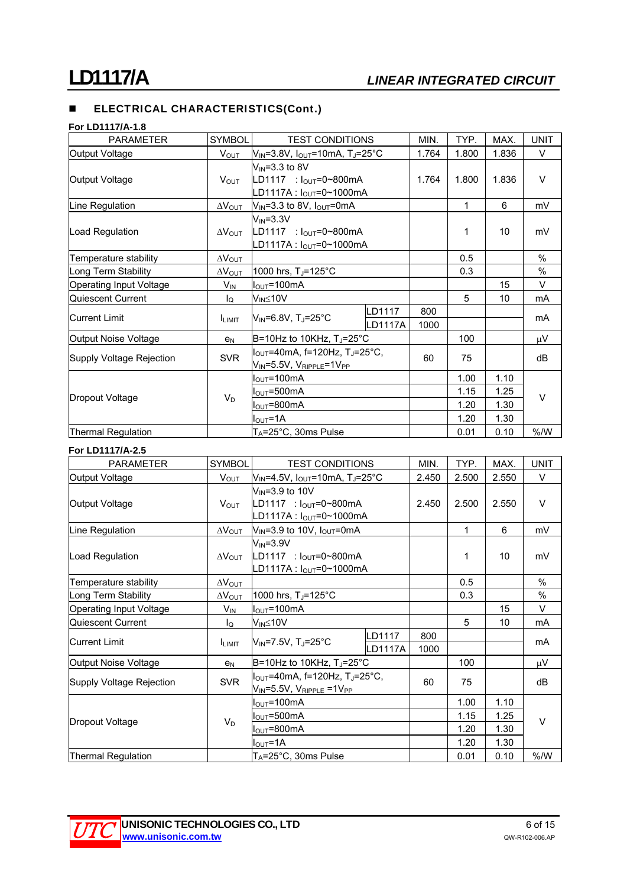#### **For LD1117/A-1.8**

| <b>PARAMETER</b>         | <b>SYMBOL</b>           | <b>TEST CONDITIONS</b>                                       |         | MIN.  | TYP.  | MAX.  | <b>UNIT</b> |
|--------------------------|-------------------------|--------------------------------------------------------------|---------|-------|-------|-------|-------------|
| Output Voltage           | <b>V<sub>OUT</sub></b>  | $V_{IN}$ =3.8V, $I_{OUT}$ =10mA, TJ=25°C                     |         | 1.764 | 1.800 | 1.836 | V           |
|                          |                         | $V_{\text{IN}}$ =3.3 to 8V                                   |         |       |       |       |             |
| Output Voltage           | V <sub>OUT</sub>        | LD1117 : $I_{OUT} = 0 \sim 800$ mA                           |         | 1.764 | 1.800 | 1.836 | $\vee$      |
|                          |                         | LD1117A: $I_{OUT} = 0 \sim 1000$ mA                          |         |       |       |       |             |
| Line Regulation          | $\Delta V_{\text{OUT}}$ | $V_{IN}$ =3.3 to 8V, $I_{OUT}$ =0mA                          |         |       | 1     | 6     | mV          |
|                          |                         | $V_{IN} = 3.3V$                                              |         |       |       |       |             |
| Load Regulation          | $\Delta V_{\text{OUT}}$ | LD1117 : $I_{OUT} = 0 \sim 800 \text{ mA}$                   |         | 1     | 10    | mV    |             |
|                          |                         | LD1117A : $I_{OUT} = 0 - 1000mA$                             |         |       |       |       |             |
| Temperature stability    | $\Delta V_{\text{OUT}}$ |                                                              |         |       | 0.5   |       | %           |
| Long Term Stability      | $\Delta V_{\text{OUT}}$ | 1000 hrs, T <sub>J</sub> =125°C                              |         | 0.3   |       | %     |             |
| Operating Input Voltage  | $V_{IN}$                | $I_{\text{OUT}} = 100 \text{mA}$                             |         |       |       | 15    | $\vee$      |
| Quiescent Current        | $I_{\Omega}$            | V <sub>IN</sub> ≤10V                                         |         |       | 5     | 10    | mA          |
|                          |                         |                                                              | LD1117  | 800   |       |       | mA          |
| <b>Current Limit</b>     | <b>I</b> LIMIT          | $V_{IN} = 6.8V$ , T <sub>J</sub> =25°C                       | LD1117A | 1000  |       |       |             |
| Output Noise Voltage     | e <sub>N</sub>          | B=10Hz to 10KHz, T <sub>J</sub> =25°C                        |         |       | 100   |       | μV          |
|                          |                         | $I_{\text{OUT}}$ =40mA, f=120Hz, T <sub>J</sub> =25°C,       |         |       |       |       |             |
| Supply Voltage Rejection | <b>SVR</b>              | $V_{\text{IN}}$ =5.5V, $V_{\text{RIPPLE}}$ =1V <sub>PP</sub> |         | 60    | 75    |       | dB          |
|                          |                         | I <sub>ou⊤</sub> =100mA                                      |         |       | 1.00  | 1.10  |             |
|                          |                         | $I_{\text{OUT}} = 500 \text{mA}$                             |         |       | 1.15  | 1.25  |             |
| Dropout Voltage          | $V_D$                   | $I_{\text{OUT}} = 800 \text{mA}$                             |         |       | 1.20  | 1.30  | $\vee$      |
|                          |                         | $I_{\text{OUT}}$ =1A                                         |         |       | 1.20  | 1.30  |             |
| Thermal Regulation       |                         | $T_A = 25^\circ \text{C}$ , 30ms Pulse                       |         |       | 0.01  | 0.10  | % /W        |

### **For LD1117/A-2.5**

| <b>PARAMETER</b>               | <b>SYMBOL</b>           | <b>TEST CONDITIONS</b>                                       |                | MIN.  | TYP.  | MAX.  | <b>UNIT</b> |
|--------------------------------|-------------------------|--------------------------------------------------------------|----------------|-------|-------|-------|-------------|
| Output Voltage                 | V <sub>OUT</sub>        | $V_{IN}$ =4.5V, $I_{OUT}$ =10mA, TJ=25°C                     |                | 2.450 | 2.500 | 2.550 | $\vee$      |
|                                |                         | $V_{\text{IN}}$ =3.9 to 10V                                  |                |       |       |       |             |
| Output Voltage                 | V <sub>OUT</sub>        | LD1117 : $I_{OUT} = 0 \sim 800$ mA                           |                | 2.450 | 2.500 | 2.550 | $\vee$      |
|                                |                         | LD1117A : $I_{OUT} = 0 - 1000$ mA                            |                |       |       |       |             |
| Line Regulation                | $\Delta V_{\text{OUT}}$ | $V_{\text{IN}}$ =3.9 to 10V, $I_{\text{OUT}}$ =0mA           |                |       | 1     | 6     | mV          |
|                                |                         | $V_{IN} = 3.9V$                                              |                |       |       |       |             |
| Load Regulation                | $\Delta V_{\text{OUT}}$ | LD1117 : $I_{OUT} = 0 - 800$ mA                              |                | 1     | 10    | mV    |             |
|                                |                         | LD1117A : lout=0~1000mA                                      |                |       |       |       |             |
| Temperature stability          | $\Delta V_{\text{OUT}}$ |                                                              |                |       | 0.5   |       | %           |
| Long Term Stability            | $\Delta V_{\text{OUT}}$ | 1000 hrs, TJ=125°C                                           |                | 0.3   |       | $\%$  |             |
| <b>Operating Input Voltage</b> | $V_{IN}$                | $I_{\text{OUT}} = 100 \text{mA}$                             |                |       |       | 15    | $\vee$      |
| Quiescent Current              | lo                      | $V_{IN} \leq 10V$                                            |                |       | 5     | 10    | mA          |
| <b>Current Limit</b>           |                         |                                                              | LD1117         | 800   |       |       | mA          |
|                                | <b>LIMIT</b>            | $V_{\text{IN}}$ =7.5V, T <sub>J</sub> =25°C                  | <b>LD1117A</b> | 1000  |       |       |             |
| Output Noise Voltage           | e <sub>N</sub>          | B=10Hz to 10KHz, TJ=25°C                                     |                |       | 100   |       | μV          |
|                                |                         | $I_{OUT}$ =40mA, f=120Hz, T <sub>J</sub> =25°C,              |                |       |       |       |             |
| Supply Voltage Rejection       | <b>SVR</b>              | $V_{\text{IN}}$ =5.5V, $V_{\text{RIPPLE}}$ =1V <sub>PP</sub> |                | 60    | 75    |       | dB          |
|                                |                         | $I_{\text{OUT}} = 100 \text{mA}$                             |                |       | 1.00  | 1.10  |             |
|                                |                         | $IOUT=500mA$                                                 |                |       | 1.15  | 1.25  |             |
| Dropout Voltage                | $V_D$                   | $I_{\text{OUT}} = 800 \text{mA}$                             |                |       | 1.20  | 1.30  | $\vee$      |
|                                |                         | $I_{\text{OUT}} = 1A$                                        |                |       | 1.20  | 1.30  |             |
| Thermal Regulation             |                         | $T_A = 25^\circ \text{C}$ , 30ms Pulse                       |                |       | 0.01  | 0.10  | % /W        |

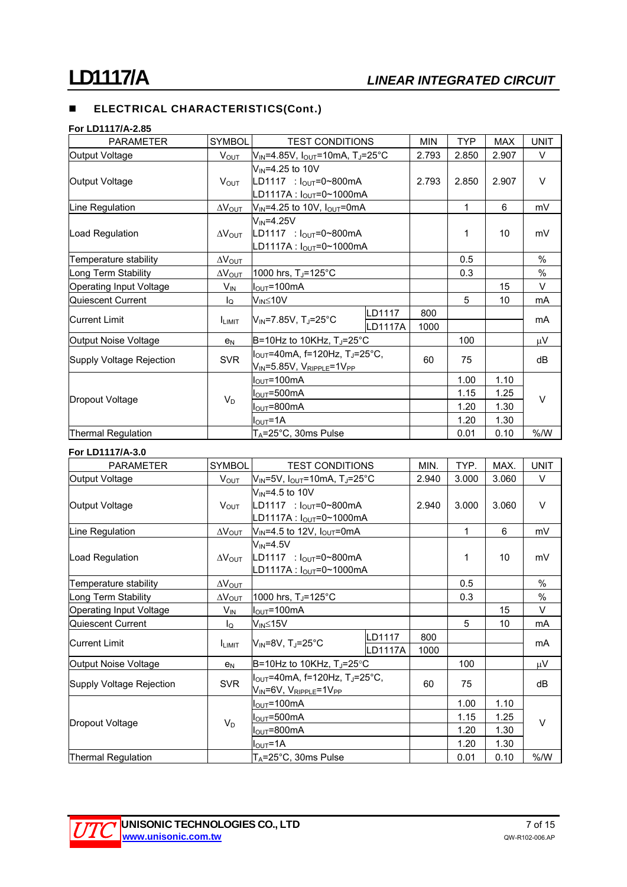#### **For LD1117/A-2.85**

| <b>PARAMETER</b>          | <b>SYMBOL</b>           | <b>TEST CONDITIONS</b>                                        |         | <b>MIN</b> | <b>TYP</b> | <b>MAX</b> | <b>UNIT</b> |
|---------------------------|-------------------------|---------------------------------------------------------------|---------|------------|------------|------------|-------------|
| Output Voltage            | $V_{\text{OUT}}$        | $V_{IN} = 4.85V$ , $I_{OUT} = 10mA$ , T <sub>J</sub> =25°C    |         | 2.793      | 2.850      | 2.907      | $\vee$      |
|                           |                         | $V_{IN} = 4.25$ to 10V                                        |         |            |            |            |             |
| Output Voltage            | $V_{\text{OUT}}$        | LD1117 : $I_{OUT} = 0 \sim 800$ mA                            |         | 2.793      | 2.850      | 2.907      | V           |
|                           |                         | LD1117A: l <sub>OUT</sub> =0~1000mA                           |         |            |            |            |             |
| Line Regulation           | $\Delta V_{\text{OUT}}$ | $V_{\text{IN}}$ =4.25 to 10V, $I_{\text{OUT}}$ =0mA           |         |            | 1          | 6          | mV          |
|                           |                         | $V_{\text{IN}}$ =4.25V                                        |         |            |            |            |             |
| Load Regulation           | $\Delta V_{\text{OUT}}$ | LD1117 : $I_{OUT} = 0 \sim 800$ mA                            |         | 1          | 10         | mV         |             |
|                           |                         | $LD1117A : IOUT=0~1000mA$                                     |         |            |            |            |             |
| Temperature stability     | $\Delta V_{\text{OUT}}$ |                                                               |         |            | 0.5        |            | $\%$        |
| Long Term Stability       | $\Delta V_{\text{OUT}}$ | 1000 hrs, $T_J = 125^{\circ}$ C                               |         | 0.3        |            | %          |             |
| Operating Input Voltage   | $V_{IN}$                | $I_{\text{OUT}} = 100 \text{mA}$                              |         |            |            | 15         | $\vee$      |
| Quiescent Current         | lo                      | $V_{IN} \leq 10V$                                             |         |            | 5          | 10         | mA          |
| <b>Current Limit</b>      |                         |                                                               | LD1117  | 800        |            |            | mA          |
|                           | <b>ILIMIT</b>           | $V_{\text{IN}}$ =7.85V, TJ=25°C                               | LD1117A | 1000       |            |            |             |
| Output Noise Voltage      | e <sub>N</sub>          | $B=10$ Hz to 10KHz, T <sub>J</sub> =25°C                      |         |            | 100        |            | μV          |
|                           | <b>SVR</b>              | $I_{\text{OUT}}$ =40mA, f=120Hz, T <sub>J</sub> =25°C,        |         | 60         |            |            | dB          |
| Supply Voltage Rejection  |                         | $V_{\text{IN}}$ =5.85V, $V_{\text{RIPPLE}}$ =1V <sub>PP</sub> |         |            | 75         |            |             |
|                           |                         | $I_{\text{OUT}}$ =100mA                                       |         |            | 1.00       | 1.10       |             |
|                           |                         | $I_{\text{OUT}} = 500 \text{mA}$                              |         |            | 1.15       | 1.25       |             |
| Dropout Voltage           | $V_D$                   | $I_{\text{OUT}} = 800 \text{mA}$                              |         |            | 1.20       | 1.30       | $\vee$      |
|                           |                         | $I_{\text{OUT}} = 1A$                                         |         |            | 1.20       | 1.30       |             |
| <b>Thermal Regulation</b> |                         | T <sub>A</sub> =25°C, 30ms Pulse                              |         |            | 0.01       | 0.10       | % /W        |

#### **For LD1117/A-3.0**

| <b>PARAMETER</b>               | <b>SYMBOL</b>                | <b>TEST CONDITIONS</b>                             |          | MIN.  | TYP.  | MAX.  | <b>UNIT</b> |
|--------------------------------|------------------------------|----------------------------------------------------|----------|-------|-------|-------|-------------|
| Output Voltage                 | V <sub>OUT</sub>             | $V_{IN}$ =5V, $I_{OUT}$ =10mA, TJ=25°C             |          | 2.940 | 3.000 | 3.060 | V           |
|                                |                              | $V_{IN} = 4.5$ to 10V                              |          |       |       |       |             |
| Output Voltage                 | V <sub>OUT</sub>             | LD1117 : $I_{OUT} = 0 \sim 800 \text{ mA}$         |          | 2.940 | 3.000 | 3.060 | $\vee$      |
|                                |                              | LD1117A: l <sub>OUT</sub> =0~1000mA                |          |       |       |       |             |
| Line Regulation                | $\Delta V_{\text{OUT}}$      | $V_{\text{IN}}$ =4.5 to 12V, $I_{\text{OUT}}$ =0mA |          |       | 1     | 6     | mV          |
|                                |                              | $V_{IN} = 4.5V$                                    |          |       |       |       |             |
| Load Regulation                | $\Delta V_{\text{OUT}}$      | LD1117 : $I_{OUT} = 0 \sim 800 \text{ mA}$         |          | 1     | 10    | mV    |             |
|                                |                              | $ LD1117A : IOUT=0~1000mA$                         |          |       |       |       |             |
| Temperature stability          | $\Delta V_{\text{OUT}}$      |                                                    |          |       | 0.5   |       | %           |
| Long Term Stability            | $\Delta V_{\underline{OUT}}$ | 1000 hrs, T <sub>J</sub> =125°C                    |          | 0.3   |       | $\%$  |             |
| <b>Operating Input Voltage</b> | $V_{IN}$                     | $I_{\text{OUT}} = 100 \text{mA}$                   |          |       |       | 15    | V           |
| Quiescent Current              | $I_{\Omega}$                 | V <sub>IN</sub> ≤15V                               |          |       | 5     | 10    | mA          |
| <b>Current Limit</b>           |                              |                                                    | LD1117   | 800   |       |       | mA          |
|                                | <b>ILIMIT</b>                | lVı <sub>№</sub> =8V, T.⊫25°C                      | ILD1117A | 1000  |       |       |             |
| Output Noise Voltage           | e <sub>N</sub>               | B=10Hz to 10KHz, $T_J = 25^\circ C$                |          |       | 100   |       | μV          |
|                                |                              | $I_{\text{OUT}}$ =40mA, f=120Hz, T, =25°C,         |          |       |       |       |             |
| Supply Voltage Rejection       | <b>SVR</b>                   | $V_{IN}$ =6V, $V_{RIPPLE}$ =1V <sub>PP</sub>       |          | 60    | 75    |       | dB          |
|                                |                              | I <sub>OUT</sub> =100mA                            |          |       | 1.00  | 1.10  |             |
|                                |                              | $I_{\text{OUT}} = 500 \text{mA}$                   |          |       | 1.15  | 1.25  |             |
| Dropout Voltage                | $V_D$                        | $I_{\text{OUT}} = 800 \text{mA}$                   |          |       | 1.20  | 1.30  | V           |
|                                |                              | $I_{\text{OUT}}$ =1A                               |          |       | 1.20  | 1.30  |             |
| Thermal Regulation             |                              | $T_A = 25^\circ \text{C}$ , 30ms Pulse             |          |       | 0.01  | 0.10  | % /W        |

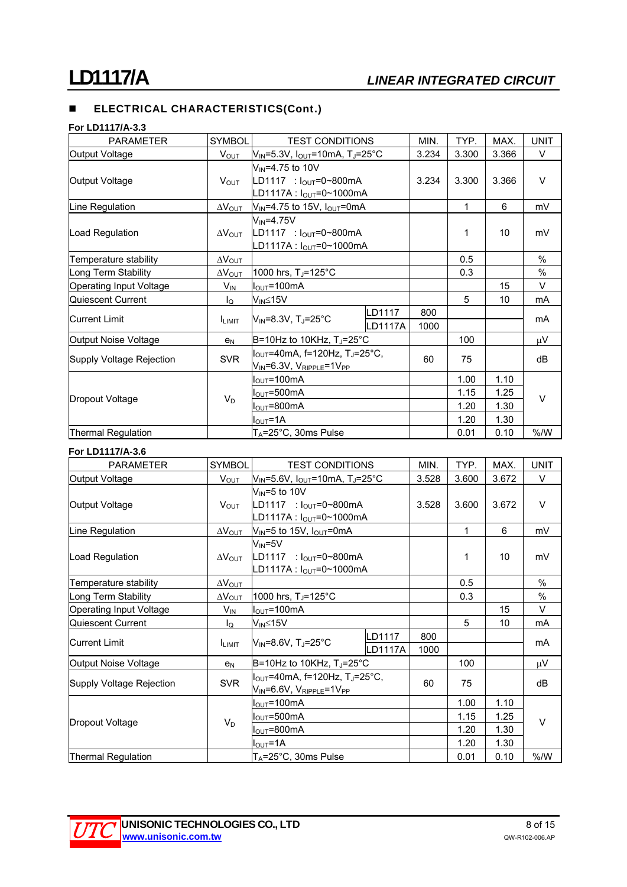#### **For LD1117/A-3.3**

| <b>PARAMETER</b>         | <b>SYMBOL</b>           | <b>TEST CONDITIONS</b>                                                                                                 |                                                                                          | MIN.        | TYP.  | MAX.            | <b>UNIT</b>   |
|--------------------------|-------------------------|------------------------------------------------------------------------------------------------------------------------|------------------------------------------------------------------------------------------|-------------|-------|-----------------|---------------|
| Output Voltage           | <b>V</b> <sub>OUT</sub> | $V_{IN} = 5.3V$ , $I_{OUT} = 10mA$ , TJ=25°C                                                                           |                                                                                          | 3.234       | 3.300 | 3.366           | $\vee$        |
| Output Voltage           | V <sub>OUT</sub>        | $V_{IN} = 4.75$ to 10V<br>LD1117 : $I_{OUT} = 0 - 800$ mA<br>LD1117A : $I_{OUT} = 0 - 1000$ mA                         |                                                                                          | 3.234       | 3.300 | 3.366           | $\vee$        |
| Line Regulation          | $\Delta V_{\text{OUT}}$ | $V_{IN} = 4.75$ to 15V, $I_{OUT} = 0$ mA                                                                               |                                                                                          |             | 1     | 6               | mV            |
| Load Regulation          | $\Delta V_{\text{OUT}}$ | $V_{IN} = 4.75V$                                                                                                       | LD1117 : $I_{\text{OUT}} = 0 \sim 800 \text{ mA}$<br>LD1117A: $I_{OUT} = 0 \sim 1000$ mA |             | 1     | 10 <sup>°</sup> | mV            |
| Temperature stability    | $\Delta V_{\text{OUT}}$ |                                                                                                                        |                                                                                          |             | 0.5   |                 | $\frac{0}{0}$ |
| Long Term Stability      | $\Delta V_{\text{OUT}}$ | 1000 hrs, T <sub>J</sub> =125°C                                                                                        |                                                                                          | 0.3         |       | %               |               |
| Operating Input Voltage  | $V_{\mathsf{IN}}$       | $I_{\text{OUT}} = 100 \text{mA}$                                                                                       |                                                                                          |             |       | 15              | $\vee$        |
| Quiescent Current        | $I_{\mathsf{Q}}$        | $V_{IN} \leq 15V$                                                                                                      |                                                                                          |             | 5     | 10              | mA            |
| <b>Current Limit</b>     | <b>LIMIT</b>            | $V_{IN} = 8.3V$ , T <sub>J</sub> =25°C                                                                                 | LD1117<br>LD1117A                                                                        | 800<br>1000 |       |                 | mA            |
| Output Noise Voltage     | e <sub>N</sub>          | B=10Hz to 10KHz, $T_J = 25^{\circ}C$                                                                                   |                                                                                          |             | 100   |                 | μV            |
| Supply Voltage Rejection | <b>SVR</b>              | $I_{\text{OUT}}$ =40mA, f=120Hz, T <sub>J</sub> =25°C,<br>$V_{\text{IN}}$ =6.3V, $V_{\text{RIPPLE}}$ =1V <sub>PP</sub> |                                                                                          | 60          | 75    |                 | dB            |
|                          |                         | I <sub>OUT</sub> =100mA                                                                                                |                                                                                          |             | 1.00  | 1.10            |               |
|                          | $V_D$                   | $I_{\text{OUT}} = 500 \text{mA}$                                                                                       |                                                                                          |             | 1.15  | 1.25            | $\vee$        |
| Dropout Voltage          |                         | $I_{\text{OUT}} = 800 \text{mA}$                                                                                       |                                                                                          |             | 1.20  | 1.30            |               |
|                          |                         | $I_{\text{OUT}} = 1A$                                                                                                  |                                                                                          |             | 1.20  | 1.30            |               |
| Thermal Regulation       |                         | $T_A = 25^\circ \text{C}$ , 30ms Pulse                                                                                 |                                                                                          |             | 0.01  | 0.10            | % /W          |

### **For LD1117/A-3.6**

| <b>PARAMETER</b>         | <b>SYMBOL</b>           | <b>TEST CONDITIONS</b>                                       |                | MIN.  | TYP.  | MAX.  | <b>UNIT</b> |
|--------------------------|-------------------------|--------------------------------------------------------------|----------------|-------|-------|-------|-------------|
| Output Voltage           | V <sub>OUT</sub>        | $V_{IN}$ =5.6V, $I_{OUT}$ =10mA, T <sub>J</sub> =25°C        |                | 3.528 | 3.600 | 3.672 | V           |
|                          |                         | $V_{IN} = 5$ to 10V                                          |                |       |       |       |             |
| Output Voltage           | V <sub>OUT</sub>        | LD1117 : $I_{OUT} = 0 \sim 800 \text{ mA}$                   |                | 3.528 | 3.600 | 3.672 | $\vee$      |
|                          |                         | $LD1117A : IOUT=0~1000mA$                                    |                |       |       |       |             |
| Line Regulation          | $\Delta V_{OUT}$        | $V_{\text{IN}}$ =5 to 15V, $I_{\text{OUT}}$ =0mA             |                |       | 1     | 6     | mV          |
|                          |                         | $V_{\text{IN}}$ =5 $V$                                       |                |       |       |       |             |
| Load Regulation          | $\Delta V_{\text{OUT}}$ | LD1117 : $I_{OUT} = 0 \sim 800 \text{ mA}$                   |                | 1     | 10    | mV    |             |
|                          |                         | LD1117A : $I_{OUT} = 0 - 1000$ mA                            |                |       |       |       |             |
| Temperature stability    | $\Delta V_{\text{OUT}}$ |                                                              |                |       | 0.5   |       | %           |
| Long Term Stability      | $\Delta V_{\text{OUT}}$ | 1000 hrs, T <sub>J</sub> =125°C                              |                | 0.3   |       | $\%$  |             |
| Operating Input Voltage  | $V_{\text{IN}}$         | $I_{\text{OUT}} = 100 \text{mA}$                             |                |       |       | 15    | $\vee$      |
| Quiescent Current        | lo                      | V <sub>IN</sub> ≤15V                                         |                |       | 5     | 10    | mA          |
| <b>Current Limit</b>     |                         |                                                              | LD1117         | 800   |       |       | mA          |
|                          | <b>ILIMIT</b>           | $V_{IN} = 8.6V$ , T <sub>J</sub> =25°C                       | <b>LD1117A</b> | 1000  |       |       |             |
| Output Noise Voltage     | e <sub>N</sub>          | B=10Hz to 10KHz, TJ=25°C                                     |                |       | 100   |       | μV          |
|                          |                         | $I_{\text{OUT}}$ =40mA, f=120Hz, T <sub>J</sub> =25°C,       |                |       |       |       |             |
| Supply Voltage Rejection | <b>SVR</b>              | $V_{\text{IN}}$ =6.6V, $V_{\text{RIPPLE}}$ =1V <sub>PP</sub> |                | 60    | 75    |       | dB          |
|                          |                         | $I_{\text{OUT}}$ =100mA                                      |                |       | 1.00  | 1.10  |             |
|                          |                         | $I_{\text{OUT}} = 500 \text{mA}$                             |                |       | 1.15  | 1.25  |             |
| Dropout Voltage          | $V_D$                   | $I_{\text{OUT}} = 800 \text{mA}$                             |                |       | 1.20  | 1.30  | $\vee$      |
|                          |                         | $I_{\text{OUT}} = 1A$                                        |                |       | 1.20  | 1.30  |             |
| Thermal Regulation       |                         | TA=25°C, 30ms Pulse                                          |                |       | 0.01  | 0.10  | % /W        |

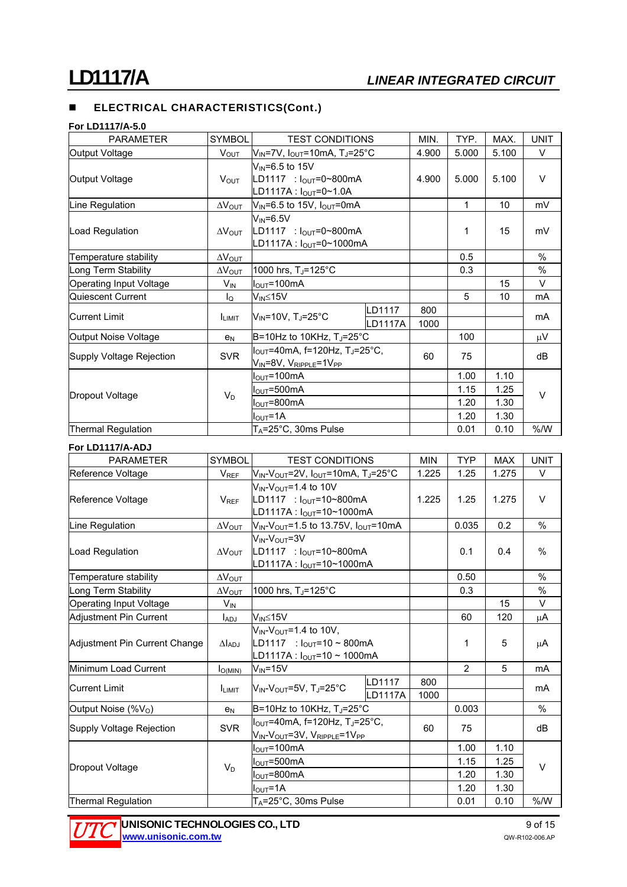### **For LD1117/A-5.0**

| <b>PARAMETER</b>                 | <b>SYMBOL</b>           | <b>TEST CONDITIONS</b>                                                                                               | MIN.     | TYP.  | MAX.  | <b>UNIT</b> |      |
|----------------------------------|-------------------------|----------------------------------------------------------------------------------------------------------------------|----------|-------|-------|-------------|------|
| Output Voltage                   | V <sub>OUT</sub>        | $V_{IN}$ =7V, $I_{OUT}$ =10mA, TJ=25°C                                                                               | 4.900    | 5.000 | 5.100 | $\vee$      |      |
|                                  | <b>V</b> <sub>OUT</sub> | $V_{IN}$ =6.5 to 15V                                                                                                 |          |       |       |             |      |
| Output Voltage                   |                         | $ LD1117 : IOUT=0~800mA$                                                                                             |          | 4.900 | 5.000 | 5.100       | V    |
|                                  |                         | LD1117A: lout=0~1.0A                                                                                                 |          |       |       |             |      |
| Line Regulation                  | $\Delta V_{\text{OUT}}$ | $V_{\text{IN}}$ =6.5 to 15V, $I_{\text{OUT}}$ =0mA                                                                   |          | 1     | 10    | mV          |      |
| Load Regulation                  | $\Delta V_{\text{OUT}}$ | $V_{IN} = 6.5V$                                                                                                      |          |       |       |             |      |
|                                  |                         | LD1117 : $I_{\text{OUT}} = 0 \sim 800 \text{ mA}$                                                                    |          |       | 1     | 15          | mV   |
|                                  |                         | LD1117A : l <sub>OUT</sub> =0~1000mA                                                                                 |          |       |       |             |      |
| Temperature stability            | $\Delta V_{\text{OUT}}$ |                                                                                                                      |          |       | 0.5   |             | %    |
| Long Term Stability              | $\Delta V_{\text{OUT}}$ | 1000 hrs, T <sub>J</sub> =125°C                                                                                      |          | 0.3   |       | %           |      |
| Operating Input Voltage          | $V_{\text{IN}}$         | $I_{\text{OUT}} = 100 \text{mA}$                                                                                     |          |       |       | 15          | V    |
| Quiescent Current                | lo                      | $V_{IN} \leq 15V$                                                                                                    |          |       | 5     | 10          | mA   |
| Current Limit                    | <b>ILIMIT</b>           | $V_{\text{IN}}$ =10V, T <sub>J</sub> =25°C                                                                           | LD1117   | 800   |       |             | mA   |
|                                  |                         |                                                                                                                      | lLD1117A | 1000  |       |             |      |
| Output Noise Voltage             | e <sub>N</sub>          | B=10Hz to 10KHz, TJ=25°C                                                                                             |          |       | 100   |             | μV   |
| Supply Voltage Rejection         | <b>SVR</b>              | $I_{\text{OUT}}$ =40mA, f=120Hz, T <sub>J</sub> =25°C,<br>$V_{\text{IN}}$ =8V, $V_{\text{RIPPLE}}$ =1V <sub>PP</sub> |          | 60    | 75    |             | dB   |
|                                  |                         |                                                                                                                      |          |       |       |             |      |
| $I_{\text{OUT}} = 500 \text{mA}$ |                         |                                                                                                                      | 1.15     | 1.25  |       |             |      |
| $I_{\text{OUT}} = 800 \text{mA}$ |                         |                                                                                                                      | 1.20     | 1.30  |       |             |      |
| $I_{\text{OUT}} = 1A$            |                         |                                                                                                                      | 1.20     | 1.30  |       |             |      |
| Thermal Regulation               |                         | $T_A = 25^\circ \text{C}$ , 30ms Pulse                                                                               |          |       | 0.01  | 0.10        | % /W |

### **For LD1117/A-ADJ**

| <b>PARAMETER</b>                | <b>SYMBOL</b>           | <b>TEST CONDITIONS</b>                                                                                                 | <b>MIN</b>               | <b>TYP</b>  | <b>MAX</b> | <b>UNIT</b> |        |
|---------------------------------|-------------------------|------------------------------------------------------------------------------------------------------------------------|--------------------------|-------------|------------|-------------|--------|
| Reference Voltage               | $V_{REF}$               | $V_{IN}$ -V <sub>OUT</sub> =2V, $I_{OUT}$ =10mA, T <sub>J</sub> =25°C                                                  | 1.225                    | 1.25        | 1.275      | V           |        |
| Reference Voltage               | $V_{REF}$               | $V_{IN}$ - $V_{OUT}$ =1.4 to 10V<br>$LD1117 : IOUT=10~800mA$<br>LD1117A: l <sub>OUT</sub> =10~1000mA                   | 1.225                    | 1.25        | 1.275      | $\vee$      |        |
| Line Regulation                 | $\Delta V_{\text{OUT}}$ | $V_{IN}$ - $V_{OUT}$ =1.5 to 13.75V, $I_{OUT}$ =10mA                                                                   |                          | 0.035       | 0.2        | $\%$        |        |
| Load Regulation                 | $\Delta V_{\rm OUT}$    | $V_{IN}$ - $V_{OUIT}$ =3V<br>LD1117 : $I_{OUT} = 10~800mA$<br>LD1117A: l <sub>OUT</sub> =10~1000mA                     |                          |             | 0.1        | 0.4         | $\%$   |
| Temperature stability           | $\Delta V_{\text{OUT}}$ |                                                                                                                        |                          |             | 0.50       |             | $\%$   |
| Long Term Stability             | $\Delta V_{\text{OUT}}$ | 1000 hrs, T <sub>J</sub> =125°C                                                                                        |                          |             | 0.3        |             | %      |
| Operating Input Voltage         | V <sub>IN</sub>         |                                                                                                                        |                          |             |            | 15          | $\vee$ |
| Adjustment Pin Current          | l <sub>ADJ</sub>        | $V_{IN} \leq 15V$                                                                                                      |                          |             | 60         | 120         | μA     |
| Adjustment Pin Current Change   | $\Delta I_{\text{ADJ}}$ | $V_{IN}$ - $V_{OUT}$ =1.4 to 10V,<br>LD1117 : $I_{\text{OUT}}$ =10 ~ 800mA<br> LD1117A : I <sub>O∪T</sub> =10 ~ 1000mA |                          |             | 1          | 5           | μA     |
| Minimum Load Current            | $I_{O(MIN)}$            | $V_{IN} = 15V$                                                                                                         |                          |             | 2          | 5           | mA     |
| <b>Current Limit</b>            | <b>LIMIT</b>            | $V_{IN}$ - $V_{OUT}$ =5V, Tu=25°C                                                                                      | LD1117<br><b>LD1117A</b> | 800<br>1000 |            |             | mA     |
| Output Noise (%V <sub>o</sub> ) | e <sub>N</sub>          | B=10Hz to 10KHz, TJ=25°C                                                                                               |                          |             | 0.003      |             | $\%$   |
| Supply Voltage Rejection        | <b>SVR</b>              | $I_{\text{OUT}}$ =40mA, f=120Hz, T <sub>J</sub> =25°C,<br>VIN-VOUT=3V, VRIPPLE=1VPP                                    |                          | 60          | 75         |             | dВ     |
| Dropout Voltage                 | $V_D$                   | $I_{\text{OUT}} = 100 \text{mA}$                                                                                       |                          |             | 1.00       | 1.10        | $\vee$ |
|                                 |                         | $I_{\text{OUT}}$ =500mA                                                                                                |                          |             | 1.15       | 1.25        |        |
|                                 |                         | $I_{\text{OUT}}$ =800mA                                                                                                |                          |             | 1.20       | 1.30        |        |
|                                 |                         | $I_{\text{OUT}}$ =1A                                                                                                   |                          |             | 1.20       | 1.30        |        |
| Thermal Regulation              |                         | TA=25°C, 30ms Pulse                                                                                                    |                          |             | 0.01       | 0.10        | % /W   |

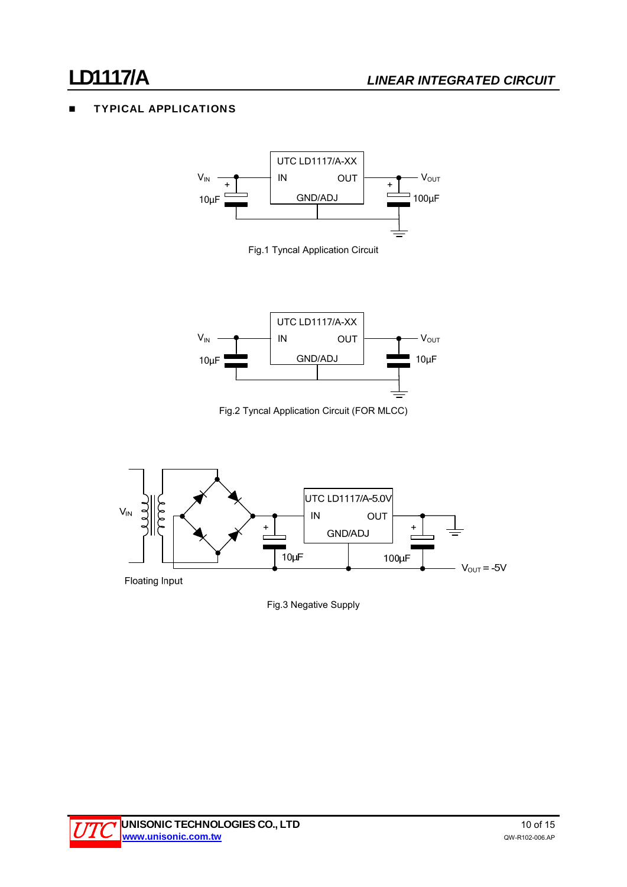# TYPICAL APPLICATIONS



Fig.1 Tyncal Application Circuit



Fig.2 Tyncal Application Circuit (FOR MLCC)



Fig.3 Negative Supply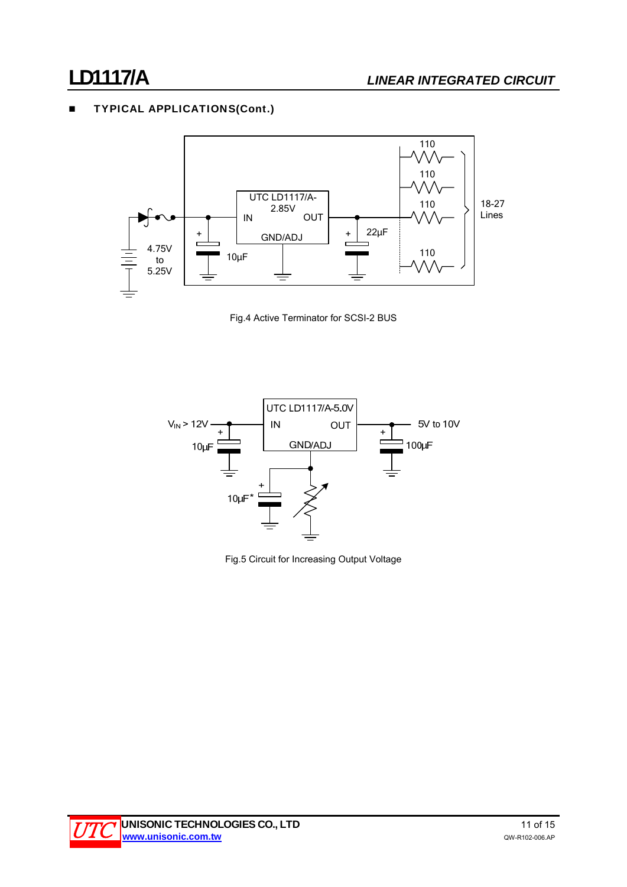# **TYPICAL APPLICATIONS(Cont.)**







Fig.5 Circuit for Increasing Output Voltage

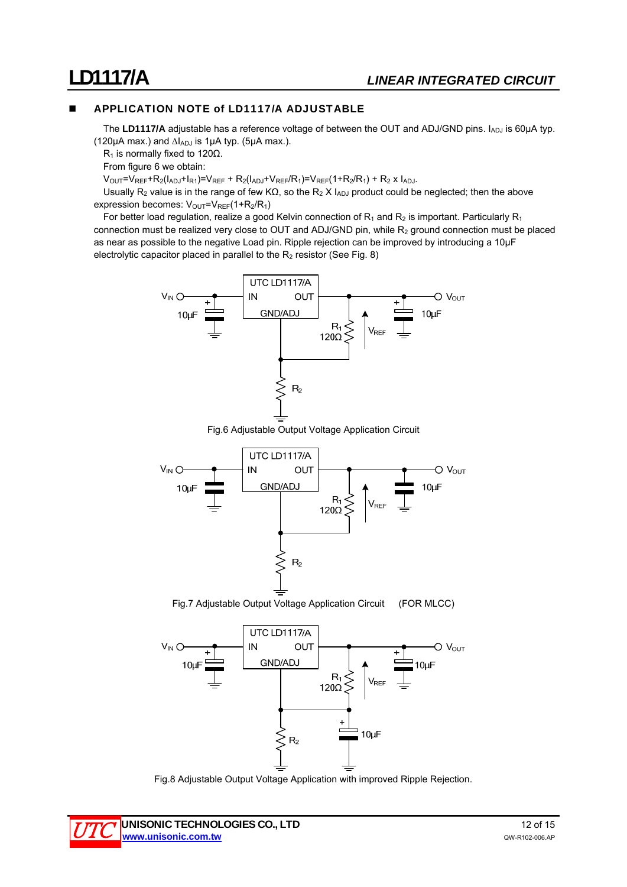## APPLICATION NOTE of LD1117/A ADJUSTABLE

The LD1117/A adjustable has a reference voltage of between the OUT and ADJ/GND pins. I<sub>ADJ</sub> is 60µA typ. (120 $\mu$ A max.) and  $\Delta I_{ADJ}$  is 1 $\mu$ A typ. (5 $\mu$ A max.).

R<sub>1</sub> is normally fixed to 120Ω.

From figure 6 we obtain:

 $V_{\text{OUT}}=V_{\text{REF}}+R_2(I_{\text{ADJ}}+I_{\text{R1}})=V_{\text{REF}}+R_2(I_{\text{ADJ}}+V_{\text{REF}}/R_1)=V_{\text{REF}}(1+R_2/R_1)+R_2 \times I_{\text{ADJ}}.$ 

Usually R<sub>2</sub> value is in the range of few KΩ, so the R<sub>2</sub> X I<sub>ADJ</sub> product could be neglected; then the above expression becomes:  $V_{\text{OUT}}=V_{\text{REF}}(1+R_{2}/R_{1})$ 

For better load regulation, realize a good Kelvin connection of  $R_1$  and  $R_2$  is important. Particularly  $R_1$ connection must be realized very close to OUT and ADJ/GND pin, while  $R_2$  ground connection must be placed as near as possible to the negative Load pin. Ripple rejection can be improved by introducing a 10µF electrolytic capacitor placed in parallel to the  $R_2$  resistor (See Fig. 8)



Fig.6 Adjustable Output Voltage Application Circuit



Fig.7 Adjustable Output Voltage Application Circuit (FOR MLCC)



Fig.8 Adjustable Output Voltage Application with improved Ripple Rejection.

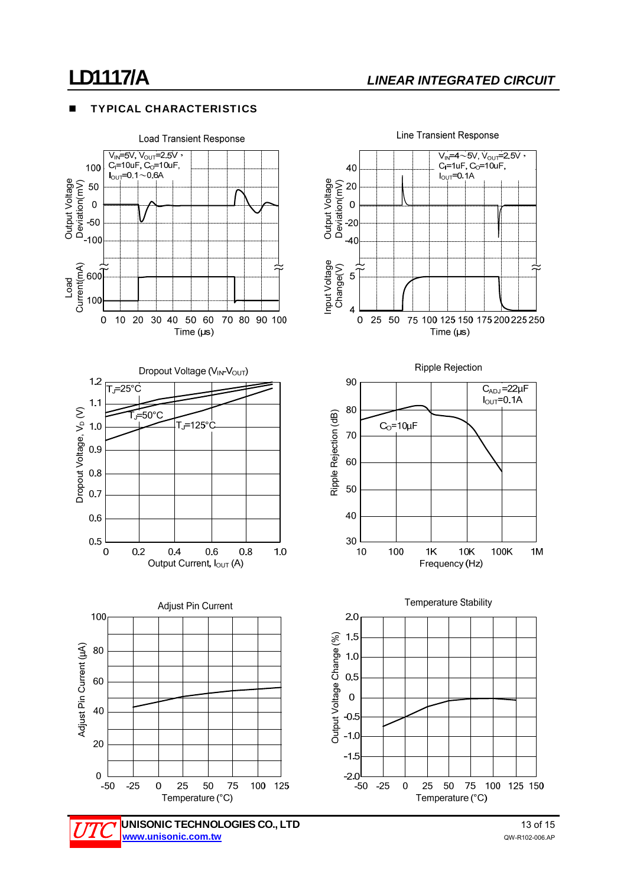# **LD1117/A** *LINEAR INTEGRATED CIRCUIT*

### TYPICAL CHARACTERISTICS

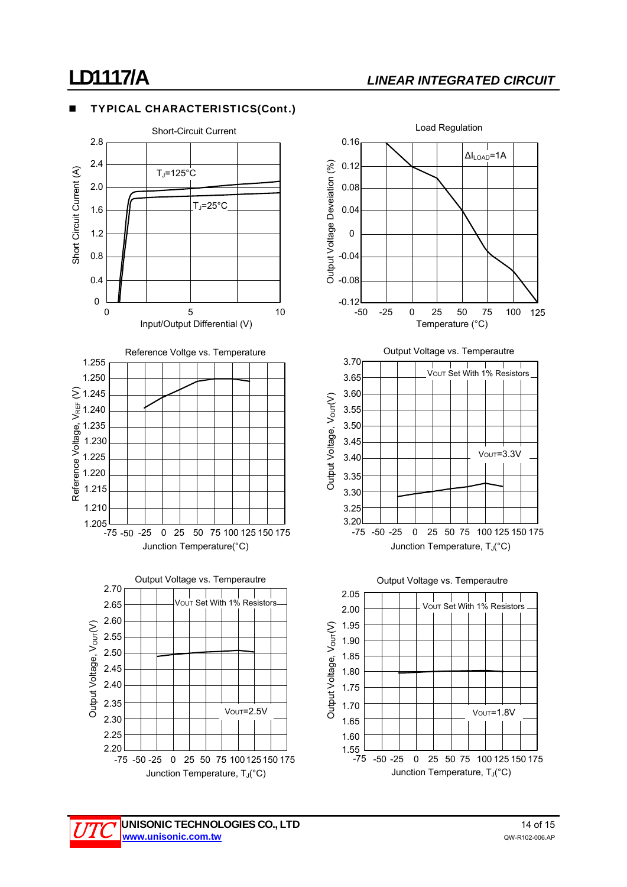# **LD1117/A** *LINEAR INTEGRATED CIRCUIT*

### TYPICAL CHARACTERISTICS(Cont.)





Junction Temperature, T<sub>J</sub>(°C)